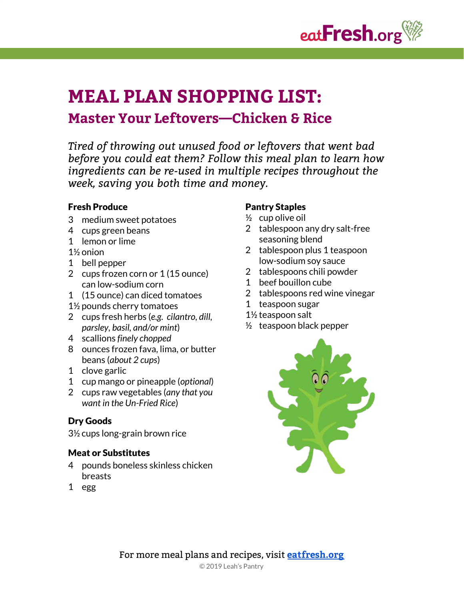

# **MEAL PLAN SHOPPING LIST: Master Your Leftovers—Chicken & Rice**

*Tired of throwing out unused food or leftovers that went bad before you could eat them? Follow this meal plan to learn how ingredients can be re-used in multiple recipes throughout the week, saving you both time and money.*

#### Fresh Produce

- 3 medium sweet potatoes
- 4 cups green beans
- 1 lemon or lime
- 1½ onion
- 1 bell pepper
- 2 cups frozen corn or 1 (15 ounce) can low-sodium corn
- 1 (15 ounce) can diced tomatoes
- 1½ pounds cherry tomatoes
- 2 cups fresh herbs (*e.g. cilantro, dill, parsley, basil, and/or mint*)
- 4 scallions *finely chopped*
- 8 ounces frozen fava, lima, or butter beans (*about 2 cups*)
- 1 clove garlic
- 1 cup mango or pineapple (*optional*)
- 2 cups raw vegetables (*any that you want in the Un-Fried Rice*)

#### Dry Goods

3½ cups long-grain brown rice

#### Meat or Substitutes

- 4 pounds boneless skinless chicken breasts
- 1 egg

#### Pantry Staples

- $\frac{1}{2}$  cup olive oil
- 2 tablespoon any dry salt-free seasoning blend
- 2 tablespoon plus 1 teaspoon low-sodium soy sauce
- 2 tablespoons chili powder
- 1 beef bouillon cube
- 2 tablespoons red wine vinegar
- 1 teaspoon sugar
- 1½ teaspoon salt
- $\frac{1}{2}$  teaspoon black pepper

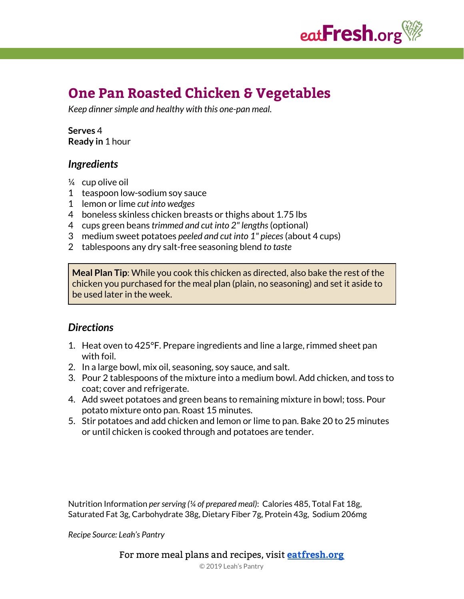

# **One Pan Roasted Chicken & Vegetables**

*Keep dinnersimple and healthy with this one-pan meal.*

#### **Serves** 4 **Ready in** 1 hour

# *Ingredients*

- ¼ cup olive oil
- 1 teaspoon low-sodium soy sauce
- 1 lemon or lime *cut into wedges*
- 4 boneless skinless chicken breasts or thighs about 1.75 lbs
- 4 cups green beans *trimmed and cut into 2" lengths*(optional)
- 3 medium sweet potatoes *peeled and cut into 1" pieces*(about 4 cups)
- 2 tablespoons any dry salt-free seasoning blend *to taste*

**Meal Plan Tip**: While you cook this chicken as directed, also bake the rest of the chicken you purchased for the meal plan (plain, no seasoning) and set it aside to be used later in the week.

# *Directions*

- 1. Heat oven to 425°F. Prepare ingredients and line a large, rimmed sheet pan with foil.
- 2. In a large bowl, mix oil, seasoning, soy sauce, and salt.
- 3. Pour 2 tablespoons of the mixture into a medium bowl. Add chicken, and toss to coat; cover and refrigerate.
- 4. Add sweet potatoes and green beans to remaining mixture in bowl; toss. Pour potato mixture onto pan. Roast 15 minutes.
- 5. Stir potatoes and add chicken and lemon or lime to pan. Bake 20 to 25 minutes or until chicken is cooked through and potatoes are tender.

Nutrition Information *perserving (¼ of prepared meal)*: Calories 485, Total Fat 18g, Saturated Fat 3g, Carbohydrate 38g, Dietary Fiber 7g, Protein 43g, Sodium 206mg

*Recipe Source: Leah's Pantry*

For more meal plans and recipes, visit **[eatfresh.org](https://eatfresh.org/)**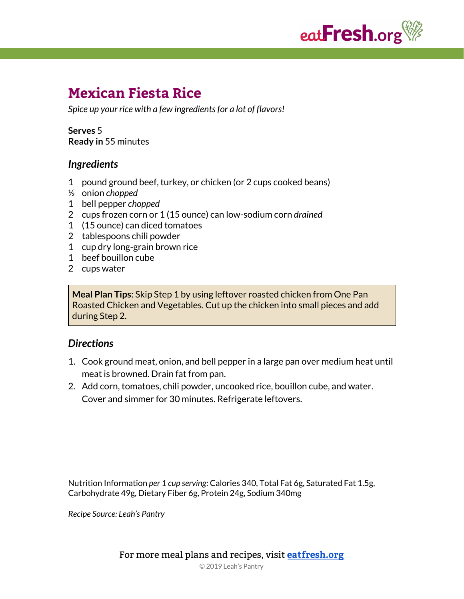

# **Mexican Fiesta Rice**

*Spice up your rice with a few ingredientsfor a lot of flavors!*

**Serves** 5 **Ready in** 55 minutes

### *Ingredients*

- 1 pound ground beef, turkey, or chicken (or 2 cups cooked beans)
- ½ onion *chopped*
- 1 bell pepper *chopped*
- 2 cups frozen corn or 1 (15 ounce) can low-sodium corn *drained*
- 1 (15 ounce) can diced tomatoes
- 2 tablespoons chili powder
- 1 cup dry long-grain brown rice
- 1 beef bouillon cube
- 2 cups water

**Meal Plan Tips**: Skip Step 1 by using leftover roasted chicken from One Pan Roasted Chicken and Vegetables. Cut up the chicken into small pieces and add during Step 2.

#### *Directions*

- 1. Cook ground meat, onion, and bell pepper in a large pan over medium heat until meat is browned. Drain fat from pan.
- 2. Add corn, tomatoes, chili powder, uncooked rice, bouillon cube, and water. Cover and simmer for 30 minutes. Refrigerate leftovers.

Nutrition Information *per 1 cup serving*: Calories 340, Total Fat 6g, Saturated Fat 1.5g, Carbohydrate 49g, Dietary Fiber 6g, Protein 24g, Sodium 340mg

*Recipe Source: Leah's Pantry*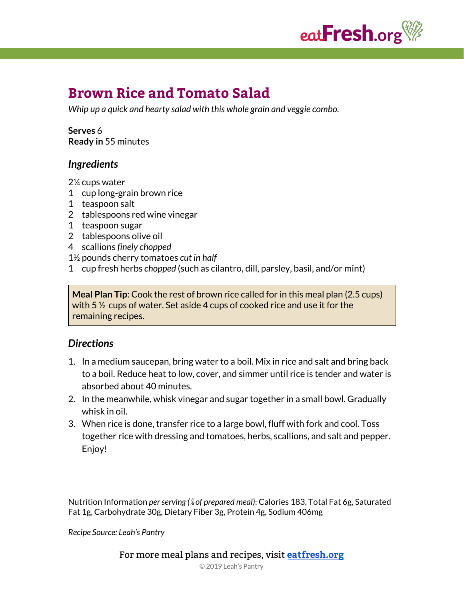

# **Brown Rice and Tomato Salad**

*Whip up a quick and hearty salad with this whole grain and veggie combo.*

#### **Serves** 6 **Ready in** 55 minutes

# *Ingredients*

2¼ cups water

- 1 cup long-grain brown rice
- 1 teaspoon salt
- 2 tablespoons red wine vinegar
- 1 teaspoon sugar
- 2 tablespoons olive oil
- 4 scallions *finely chopped*
- 1½ pounds cherry tomatoes *cut in half*
- 1 cup fresh herbs *chopped* (such as cilantro, dill, parsley, basil, and/or mint)

**Meal Plan Tip**: Cook the rest of brown rice called for in this meal plan (2.5 cups) with 5 ½ cups of water. Set aside 4 cups of cooked rice and use it for the remaining recipes.

# *Directions*

- 1. In a medium saucepan, bring water to a boil. Mix in rice and salt and bring back to a boil. Reduce heat to low, cover, and simmer until rice is tender and water is absorbed about 40 minutes.
- 2. In the meanwhile, whisk vinegar and sugar together in a small bowl. Gradually whisk in oil.
- 3. When rice is done, transfer rice to a large bowl, fluff with fork and cool. Toss together rice with dressing and tomatoes, herbs, scallions, and salt and pepper. Enjoy!

Nutrition Information *perserving (*⅛ *of prepared meal)*: Calories 183, Total Fat 6g, Saturated Fat 1g, Carbohydrate 30g, Dietary Fiber 3g, Protein 4g, Sodium 406mg

*Recipe Source: Leah's Pantry*

For more meal plans and recipes, visit **[eatfresh.org](https://eatfresh.org/)**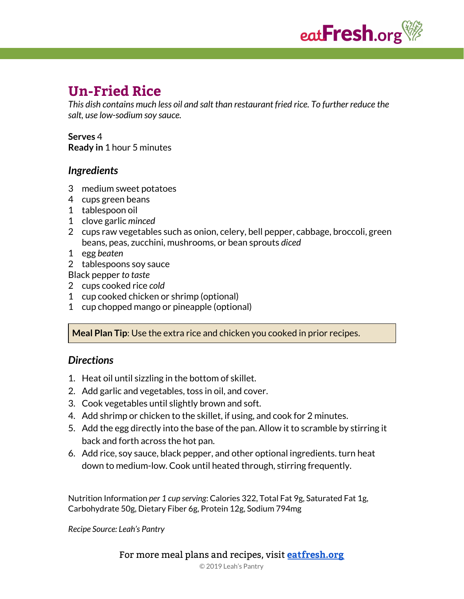

# **Un-Fried Rice**

*This dish contains much less oil and salt than restaurant fried rice. To further reduce the salt, use low-sodium soy sauce.*

### **Serves** 4

**Ready in** 1 hour 5 minutes

# *Ingredients*

- 3 medium sweet potatoes
- 4 cups green beans
- 1 tablespoon oil
- 1 clove garlic *minced*
- 2 cups raw vegetables such as onion, celery, bell pepper, cabbage, broccoli, green beans, peas, zucchini, mushrooms, or bean sprouts *diced*
- 1 egg *beaten*
- 2 tablespoons soy sauce

Black pepper *to taste*

- 2 cups cooked rice *cold*
- 1 cup cooked chicken or shrimp (optional)
- 1 cup chopped mango or pineapple (optional)

**Meal Plan Tip**: Use the extra rice and chicken you cooked in prior recipes.

# *Directions*

- 1. Heat oil until sizzling in the bottom of skillet.
- 2. Add garlic and vegetables, toss in oil, and cover.
- 3. Cook vegetables until slightly brown and soft.
- 4. Add shrimp or chicken to the skillet, if using, and cook for 2 minutes.
- 5. Add the egg directly into the base of the pan. Allow it to scramble by stirring it back and forth across the hot pan.
- 6. Add rice, soy sauce, black pepper, and other optional ingredients. turn heat down to medium-low. Cook until heated through, stirring frequently.

Nutrition Information *per 1 cup serving*: Calories 322, Total Fat 9g, Saturated Fat 1g, Carbohydrate 50g, Dietary Fiber 6g, Protein 12g, Sodium 794mg

*Recipe Source: Leah's Pantry*